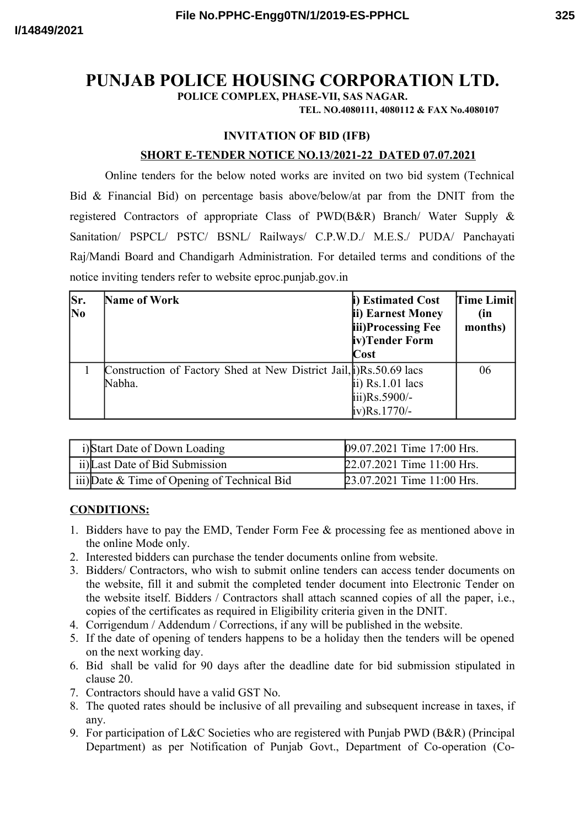# **PUNJAB POLICE HOUSING CORPORATION LTD.**

**POLICE COMPLEX, PHASE-VII, SAS NAGAR.**

**TEL. NO.4080111, 4080112 & FAX No.4080107**

### **INVITATION OF BID (IFB)**

### **SHORT E-TENDER NOTICE NO.13/2021-22 DATED 07.07.2021**

Online tenders for the below noted works are invited on two bid system (Technical Bid & Financial Bid) on percentage basis above/below/at par from the DNIT from the registered Contractors of appropriate Class of PWD(B&R) Branch/ Water Supply & Sanitation/ PSPCL/ PSTC/ BSNL/ Railways/ C.P.W.D./ M.E.S./ PUDA/ Panchayati Raj/Mandi Board and Chandigarh Administration. For detailed terms and conditions of the notice inviting tenders refer to website eproc.punjab.gov.in

| Sr.<br><b>No</b> | <b>Name of Work</b>                                                          | i) Estimated Cost<br>ii) Earnest Money<br>iii)Processing Fee<br>iv)Tender Form<br>Cost | Time Limit<br>(in<br>months) |
|------------------|------------------------------------------------------------------------------|----------------------------------------------------------------------------------------|------------------------------|
|                  | Construction of Factory Shed at New District Jail, i)Rs.50.69 lacs<br>Nabha. | ii) $Rs.1.01$ lacs<br>$\overline{\text{iii}}$ ) $\text{Rs.5900/-}$<br>iv)Rs.1770/-     | 06                           |

| i)Start Date of Down Loading                 | 09.07.2021 Time 17:00 Hrs. |
|----------------------------------------------|----------------------------|
| ii) Last Date of Bid Submission              | 22.07.2021 Time 11:00 Hrs. |
| iii) Date & Time of Opening of Technical Bid | 23.07.2021 Time 11:00 Hrs. |

#### **CONDITIONS:**

- 1. Bidders have to pay the EMD, Tender Form Fee & processing fee as mentioned above in the online Mode only.
- 2. Interested bidders can purchase the tender documents online from website.
- 3. Bidders/ Contractors, who wish to submit online tenders can access tender documents on the website, fill it and submit the completed tender document into Electronic Tender on the website itself. Bidders / Contractors shall attach scanned copies of all the paper, i.e., copies of the certificates as required in Eligibility criteria given in the DNIT.
- 4. Corrigendum / Addendum / Corrections, if any will be published in the website.
- 5. If the date of opening of tenders happens to be a holiday then the tenders will be opened on the next working day.
- 6. Bid shall be valid for 90 days after the deadline date for bid submission stipulated in clause 20.
- 7. Contractors should have a valid GST No.
- 8. The quoted rates should be inclusive of all prevailing and subsequent increase in taxes, if any.
- 9. For participation of L&C Societies who are registered with Punjab PWD (B&R) (Principal Department) as per Notification of Punjab Govt., Department of Co-operation (Co-